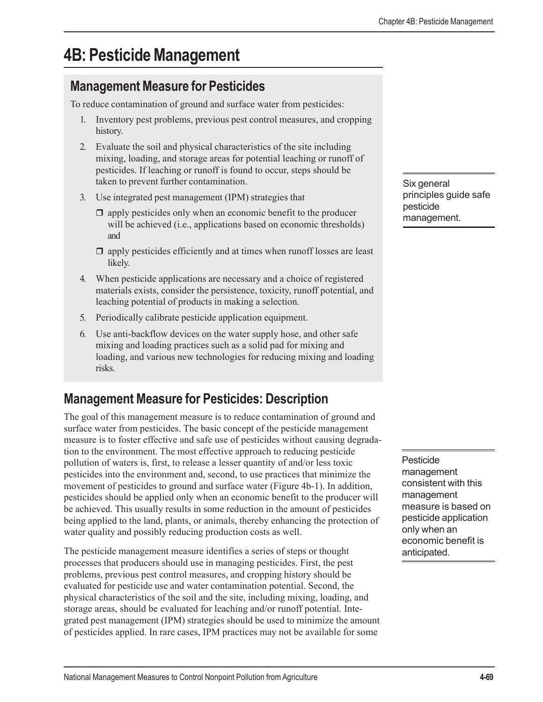# **4B: Pesticide Management**

## **Management Measure for Pesticides**

To reduce contamination of ground and surface water from pesticides:

- 1. Inventory pest problems, previous pest control measures, and cropping history.
- 2. Evaluate the soil and physical characteristics of the site including mixing, loading, and storage areas for potential leaching or runoff of pesticides. If leaching or runoff is found to occur, steps should be taken to prevent further contamination.
- 3. Use integrated pest management (IPM) strategies that
	- $\Box$  apply pesticides only when an economic benefit to the producer will be achieved (i.e., applications based on economic thresholds) and
	- $\Box$  apply pesticides efficiently and at times when runoff losses are least likely.
- 4. When pesticide applications are necessary and a choice of registered materials exists, consider the persistence, toxicity, runoff potential, and leaching potential of products in making a selection.
- 5. Periodically calibrate pesticide application equipment.
- 6. Use anti-backflow devices on the water supply hose, and other safe mixing and loading practices such as a solid pad for mixing and loading, and various new technologies for reducing mixing and loading risks.

# **Management Measure for Pesticides: Description**

The goal of this management measure is to reduce contamination of ground and surface water from pesticides. The basic concept of the pesticide management measure is to foster effective and safe use of pesticides without causing degradation to the environment. The most effective approach to reducing pesticide pollution of waters is, first, to release a lesser quantity of and/or less toxic pesticides into the environment and, second, to use practices that minimize the movement of pesticides to ground and surface water (Figure 4b-1). In addition, pesticides should be applied only when an economic benefit to the producer will be achieved. This usually results in some reduction in the amount of pesticides being applied to the land, plants, or animals, thereby enhancing the protection of water quality and possibly reducing production costs as well.

The pesticide management measure identifies a series of steps or thought processes that producers should use in managing pesticides. First, the pest problems, previous pest control measures, and cropping history should be evaluated for pesticide use and water contamination potential. Second, the physical characteristics of the soil and the site, including mixing, loading, and storage areas, should be evaluated for leaching and/or runoff potential. Integrated pest management (IPM) strategies should be used to minimize the amount of pesticides applied. In rare cases, IPM practices may not be available for some

Six general principles guide safe pesticide management.

Pesticide management consistent with this management measure is based on pesticide application only when an economic benefit is anticipated.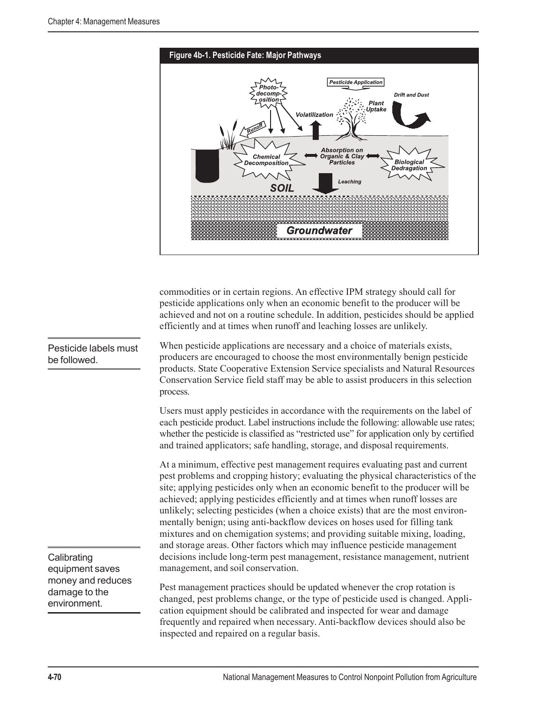

commodities or in certain regions. An effective IPM strategy should call for pesticide applications only when an economic benefit to the producer will be achieved and not on a routine schedule. In addition, pesticides should be applied efficiently and at times when runoff and leaching losses are unlikely.

When pesticide applications are necessary and a choice of materials exists, producers are encouraged to choose the most environmentally benign pesticide products. State Cooperative Extension Service specialists and Natural Resources Conservation Service field staff may be able to assist producers in this selection process.

Users must apply pesticides in accordance with the requirements on the label of each pesticide product. Label instructions include the following: allowable use rates; whether the pesticide is classified as "restricted use" for application only by certified and trained applicators; safe handling, storage, and disposal requirements.

At a minimum, effective pest management requires evaluating past and current pest problems and cropping history; evaluating the physical characteristics of the site; applying pesticides only when an economic benefit to the producer will be achieved; applying pesticides efficiently and at times when runoff losses are unlikely; selecting pesticides (when a choice exists) that are the most environmentally benign; using anti-backflow devices on hoses used for filling tank mixtures and on chemigation systems; and providing suitable mixing, loading, and storage areas. Other factors which may influence pesticide management decisions include long-term pest management, resistance management, nutrient management, and soil conservation.

Pest management practices should be updated whenever the crop rotation is changed, pest problems change, or the type of pesticide used is changed. Application equipment should be calibrated and inspected for wear and damage frequently and repaired when necessary. Anti-backflow devices should also be inspected and repaired on a regular basis.

Pesticide labels must be followed.

**Calibrating** equipment saves money and reduces damage to the environment.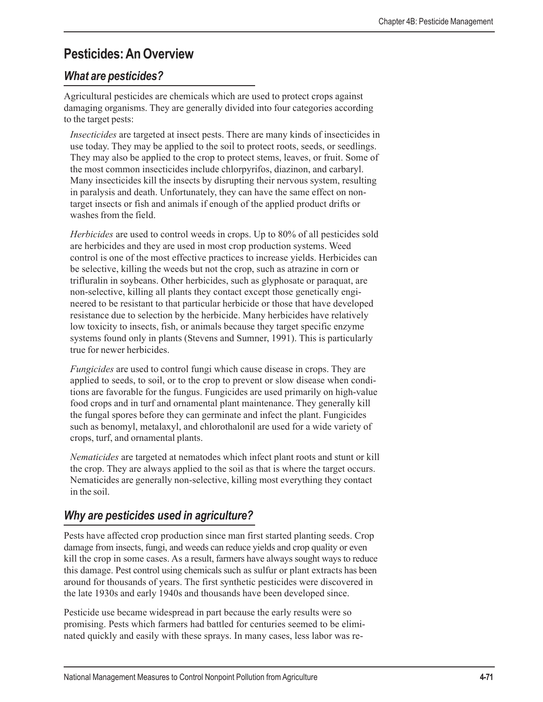# **Pesticides: An Overview**

## *What are pesticides?*

Agricultural pesticides are chemicals which are used to protect crops against damaging organisms. They are generally divided into four categories according to the target pests:

*Insecticides* are targeted at insect pests. There are many kinds of insecticides in use today. They may be applied to the soil to protect roots, seeds, or seedlings. They may also be applied to the crop to protect stems, leaves, or fruit. Some of the most common insecticides include chlorpyrifos, diazinon, and carbaryl. Many insecticides kill the insects by disrupting their nervous system, resulting in paralysis and death. Unfortunately, they can have the same effect on nontarget insects or fish and animals if enough of the applied product drifts or washes from the field.

*Herbicides* are used to control weeds in crops. Up to 80% of all pesticides sold are herbicides and they are used in most crop production systems. Weed control is one of the most effective practices to increase yields. Herbicides can be selective, killing the weeds but not the crop, such as atrazine in corn or trifluralin in soybeans. Other herbicides, such as glyphosate or paraquat, are non-selective, killing all plants they contact except those genetically engineered to be resistant to that particular herbicide or those that have developed resistance due to selection by the herbicide. Many herbicides have relatively low toxicity to insects, fish, or animals because they target specific enzyme systems found only in plants (Stevens and Sumner, 1991). This is particularly true for newer herbicides.

*Fungicides* are used to control fungi which cause disease in crops. They are applied to seeds, to soil, or to the crop to prevent or slow disease when conditions are favorable for the fungus. Fungicides are used primarily on high-value food crops and in turf and ornamental plant maintenance. They generally kill the fungal spores before they can germinate and infect the plant. Fungicides such as benomyl, metalaxyl, and chlorothalonil are used for a wide variety of crops, turf, and ornamental plants.

*Nematicides* are targeted at nematodes which infect plant roots and stunt or kill the crop. They are always applied to the soil as that is where the target occurs. Nematicides are generally non-selective, killing most everything they contact in the soil.

## *Why are pesticides used in agriculture?*

Pests have affected crop production since man first started planting seeds. Crop damage from insects, fungi, and weeds can reduce yields and crop quality or even kill the crop in some cases. As a result, farmers have always sought ways to reduce this damage. Pest control using chemicals such as sulfur or plant extracts has been around for thousands of years. The first synthetic pesticides were discovered in the late 1930s and early 1940s and thousands have been developed since.

Pesticide use became widespread in part because the early results were so promising. Pests which farmers had battled for centuries seemed to be eliminated quickly and easily with these sprays. In many cases, less labor was re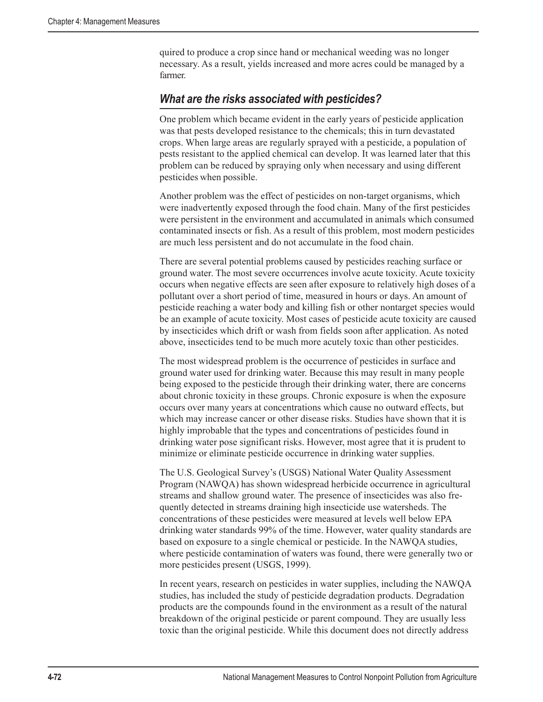quired to produce a crop since hand or mechanical weeding was no longer necessary. As a result, yields increased and more acres could be managed by a farmer.

## *What are the risks associated with pesticides?*

One problem which became evident in the early years of pesticide application was that pests developed resistance to the chemicals; this in turn devastated crops. When large areas are regularly sprayed with a pesticide, a population of pests resistant to the applied chemical can develop. It was learned later that this problem can be reduced by spraying only when necessary and using different pesticides when possible.

Another problem was the effect of pesticides on non-target organisms, which were inadvertently exposed through the food chain. Many of the first pesticides were persistent in the environment and accumulated in animals which consumed contaminated insects or fish. As a result of this problem, most modern pesticides are much less persistent and do not accumulate in the food chain.

There are several potential problems caused by pesticides reaching surface or ground water. The most severe occurrences involve acute toxicity. Acute toxicity occurs when negative effects are seen after exposure to relatively high doses of a pollutant over a short period of time, measured in hours or days. An amount of pesticide reaching a water body and killing fish or other nontarget species would be an example of acute toxicity. Most cases of pesticide acute toxicity are caused by insecticides which drift or wash from fields soon after application. As noted above, insecticides tend to be much more acutely toxic than other pesticides.

The most widespread problem is the occurrence of pesticides in surface and ground water used for drinking water. Because this may result in many people being exposed to the pesticide through their drinking water, there are concerns about chronic toxicity in these groups. Chronic exposure is when the exposure occurs over many years at concentrations which cause no outward effects, but which may increase cancer or other disease risks. Studies have shown that it is highly improbable that the types and concentrations of pesticides found in drinking water pose significant risks. However, most agree that it is prudent to minimize or eliminate pesticide occurrence in drinking water supplies.

The U.S. Geological Survey's (USGS) National Water Quality Assessment Program (NAWQA) has shown widespread herbicide occurrence in agricultural streams and shallow ground water. The presence of insecticides was also frequently detected in streams draining high insecticide use watersheds. The concentrations of these pesticides were measured at levels well below EPA drinking water standards 99% of the time. However, water quality standards are based on exposure to a single chemical or pesticide. In the NAWQA studies, where pesticide contamination of waters was found, there were generally two or more pesticides present (USGS, 1999).

In recent years, research on pesticides in water supplies, including the NAWQA studies, has included the study of pesticide degradation products. Degradation products are the compounds found in the environment as a result of the natural breakdown of the original pesticide or parent compound. They are usually less toxic than the original pesticide. While this document does not directly address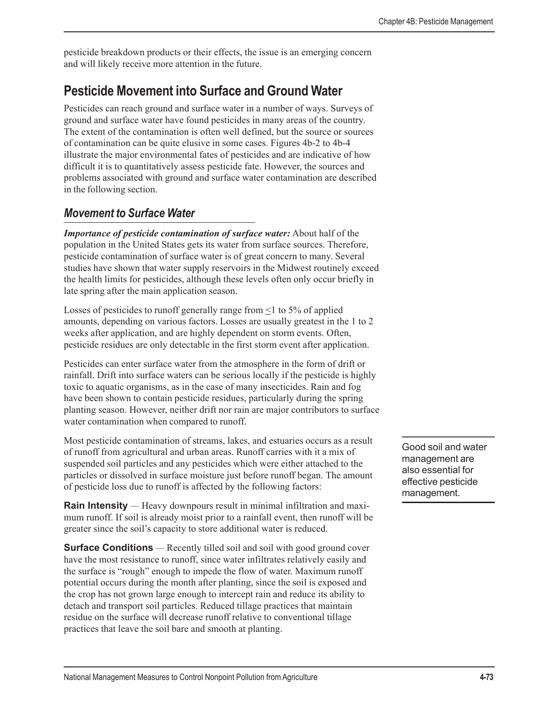pesticide breakdown products or their effects, the issue is an emerging concern and will likely receive more attention in the future.

# **Pesticide Movement into Surface and Ground Water**

Pesticides can reach ground and surface water in a number of ways. Surveys of ground and surface water have found pesticides in many areas of the country. The extent of the contamination is often well defined, but the source or sources of contamination can be quite elusive in some cases. Figures 4b-2 to 4b-4 illustrate the major environmental fates of pesticides and are indicative of how difficult it is to quantitatively assess pesticide fate. However, the sources and problems associated with ground and surface water contamination are described in the following section.

## *Movement to Surface Water*

*Importance of pesticide contamination of surface water:* About half of the population in the United States gets its water from surface sources. Therefore, pesticide contamination of surface water is of great concern to many. Several studies have shown that water supply reservoirs in the Midwest routinely exceed the health limits for pesticides, although these levels often only occur briefly in late spring after the main application season.

Losses of pesticides to runoff generally range from  $\leq 1$  to 5% of applied amounts, depending on various factors. Losses are usually greatest in the 1 to 2 weeks after application, and are highly dependent on storm events. Often, pesticide residues are only detectable in the first storm event after application.

Pesticides can enter surface water from the atmosphere in the form of drift or rainfall. Drift into surface waters can be serious locally if the pesticide is highly toxic to aquatic organisms, as in the case of many insecticides. Rain and fog have been shown to contain pesticide residues, particularly during the spring planting season. However, neither drift nor rain are major contributors to surface water contamination when compared to runoff.

Most pesticide contamination of streams, lakes, and estuaries occurs as a result of runoff from agricultural and urban areas. Runoff carries with it a mix of suspended soil particles and any pesticides which were either attached to the particles or dissolved in surface moisture just before runoff began. The amount of pesticide loss due to runoff is affected by the following factors:

**Rain Intensity** *—* Heavy downpours result in minimal infiltration and maximum runoff. If soil is already moist prior to a rainfall event, then runoff will be greater since the soil's capacity to store additional water is reduced.

**Surface Conditions** — Recently tilled soil and soil with good ground cover have the most resistance to runoff, since water infiltrates relatively easily and the surface is "rough" enough to impede the flow of water. Maximum runoff potential occurs during the month after planting, since the soil is exposed and the crop has not grown large enough to intercept rain and reduce its ability to detach and transport soil particles. Reduced tillage practices that maintain residue on the surface will decrease runoff relative to conventional tillage practices that leave the soil bare and smooth at planting.

Good soil and water management are also essential for effective pesticide management.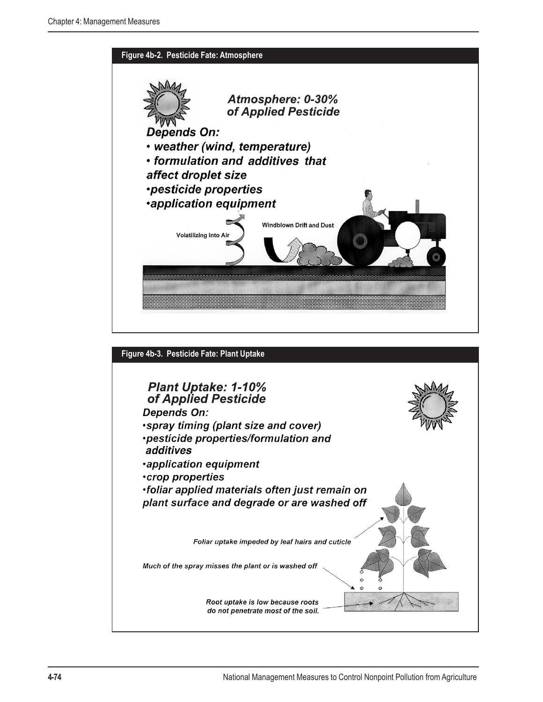

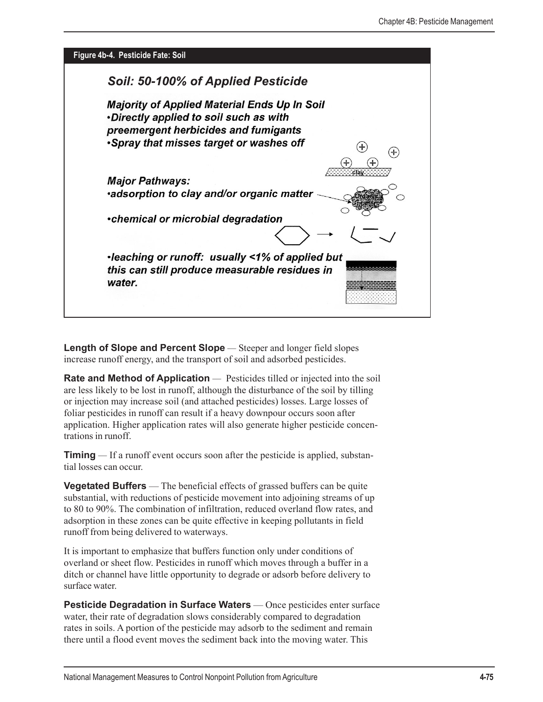

**Length of Slope and Percent Slope** *—* Steeper and longer field slopes increase runoff energy, and the transport of soil and adsorbed pesticides.

**Rate and Method of Application** — Pesticides tilled or injected into the soil are less likely to be lost in runoff, although the disturbance of the soil by tilling or injection may increase soil (and attached pesticides) losses. Large losses of foliar pesticides in runoff can result if a heavy downpour occurs soon after application. Higher application rates will also generate higher pesticide concentrations in runoff.

**Timing** *—* If a runoff event occurs soon after the pesticide is applied, substantial losses can occur.

**Vegetated Buffers** — The beneficial effects of grassed buffers can be quite substantial, with reductions of pesticide movement into adjoining streams of up to 80 to 90%. The combination of infiltration, reduced overland flow rates, and adsorption in these zones can be quite effective in keeping pollutants in field runoff from being delivered to waterways.

It is important to emphasize that buffers function only under conditions of overland or sheet flow. Pesticides in runoff which moves through a buffer in a ditch or channel have little opportunity to degrade or adsorb before delivery to surface water.

**Pesticide Degradation in Surface Waters** — Once pesticides enter surface water, their rate of degradation slows considerably compared to degradation rates in soils. A portion of the pesticide may adsorb to the sediment and remain there until a flood event moves the sediment back into the moving water. This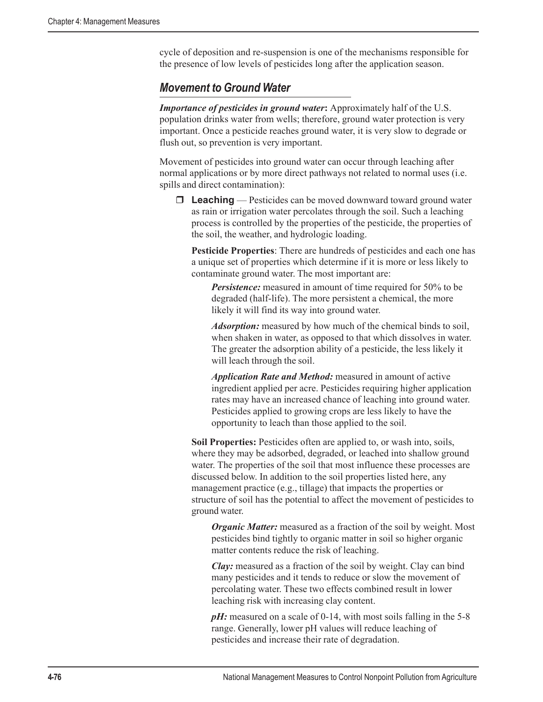cycle of deposition and re-suspension is one of the mechanisms responsible for the presence of low levels of pesticides long after the application season.

### *Movement to Ground Water*

*Importance of pesticides in ground water*: Approximately half of the U.S. population drinks water from wells; therefore, ground water protection is very important. Once a pesticide reaches ground water, it is very slow to degrade or flush out, so prevention is very important.

Movement of pesticides into ground water can occur through leaching after normal applications or by more direct pathways not related to normal uses (i.e. spills and direct contamination):

□ **Leaching** — Pesticides can be moved downward toward ground water as rain or irrigation water percolates through the soil. Such a leaching process is controlled by the properties of the pesticide, the properties of the soil, the weather, and hydrologic loading.

**Pesticide Properties**: There are hundreds of pesticides and each one has a unique set of properties which determine if it is more or less likely to contaminate ground water. The most important are:

**Persistence:** measured in amount of time required for 50% to be degraded (half-life). The more persistent a chemical, the more likely it will find its way into ground water.

*Adsorption:* measured by how much of the chemical binds to soil, when shaken in water, as opposed to that which dissolves in water. The greater the adsorption ability of a pesticide, the less likely it will leach through the soil.

*Application Rate and Method:* measured in amount of active ingredient applied per acre. Pesticides requiring higher application rates may have an increased chance of leaching into ground water. Pesticides applied to growing crops are less likely to have the opportunity to leach than those applied to the soil.

**Soil Properties:** Pesticides often are applied to, or wash into, soils, where they may be adsorbed, degraded, or leached into shallow ground water. The properties of the soil that most influence these processes are discussed below. In addition to the soil properties listed here, any management practice (e.g., tillage) that impacts the properties or structure of soil has the potential to affect the movement of pesticides to ground water.

*Organic Matter:* measured as a fraction of the soil by weight. Most pesticides bind tightly to organic matter in soil so higher organic matter contents reduce the risk of leaching.

*Clay:* measured as a fraction of the soil by weight. Clay can bind many pesticides and it tends to reduce or slow the movement of percolating water. These two effects combined result in lower leaching risk with increasing clay content.

pH: measured on a scale of 0-14, with most soils falling in the 5-8 range. Generally, lower pH values will reduce leaching of pesticides and increase their rate of degradation.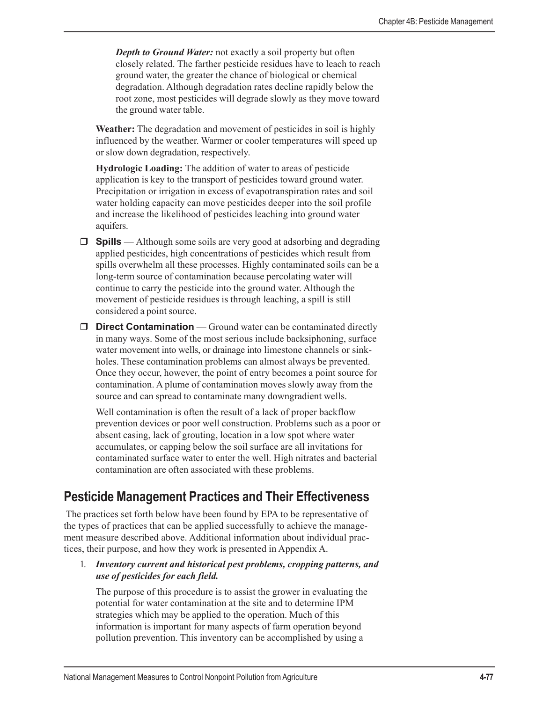*Depth to Ground Water:* not exactly a soil property but often closely related. The farther pesticide residues have to leach to reach ground water, the greater the chance of biological or chemical degradation. Although degradation rates decline rapidly below the root zone, most pesticides will degrade slowly as they move toward the ground water table.

**Weather:** The degradation and movement of pesticides in soil is highly influenced by the weather. Warmer or cooler temperatures will speed up or slow down degradation, respectively.

**Hydrologic Loading:** The addition of water to areas of pesticide application is key to the transport of pesticides toward ground water. Precipitation or irrigation in excess of evapotranspiration rates and soil water holding capacity can move pesticides deeper into the soil profile and increase the likelihood of pesticides leaching into ground water aquifers.

- **Spills** Although some soils are very good at adsorbing and degrading applied pesticides, high concentrations of pesticides which result from spills overwhelm all these processes. Highly contaminated soils can be a long-term source of contamination because percolating water will continue to carry the pesticide into the ground water. Although the movement of pesticide residues is through leaching, a spill is still considered a point source.
- **D** Direct Contamination Ground water can be contaminated directly in many ways. Some of the most serious include backsiphoning, surface water movement into wells, or drainage into limestone channels or sinkholes. These contamination problems can almost always be prevented. Once they occur, however, the point of entry becomes a point source for contamination. A plume of contamination moves slowly away from the source and can spread to contaminate many downgradient wells.

Well contamination is often the result of a lack of proper backflow prevention devices or poor well construction. Problems such as a poor or absent casing, lack of grouting, location in a low spot where water accumulates, or capping below the soil surface are all invitations for contaminated surface water to enter the well. High nitrates and bacterial contamination are often associated with these problems.

## **Pesticide Management Practices and Their Effectiveness**

 The practices set forth below have been found by EPA to be representative of the types of practices that can be applied successfully to achieve the management measure described above. Additional information about individual practices, their purpose, and how they work is presented in Appendix A.

1. *Inventory current and historical pest problems, cropping patterns, and use of pesticides for each field.*

The purpose of this procedure is to assist the grower in evaluating the potential for water contamination at the site and to determine IPM strategies which may be applied to the operation. Much of this information is important for many aspects of farm operation beyond pollution prevention. This inventory can be accomplished by using a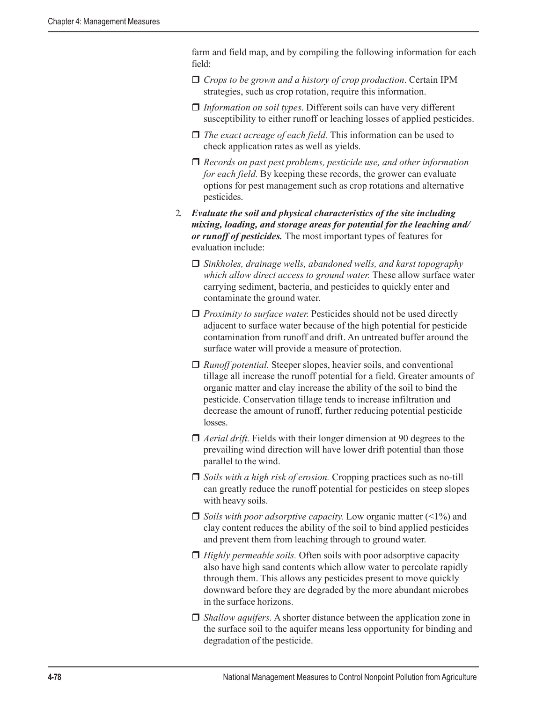farm and field map, and by compiling the following information for each field:

- *Crops to be grown and a history of crop production*. Certain IPM strategies, such as crop rotation, require this information.
- *Information on soil types*. Different soils can have very different susceptibility to either runoff or leaching losses of applied pesticides.
- *The exact acreage of each field.* This information can be used to check application rates as well as yields.
- *Records on past pest problems, pesticide use, and other information for each field.* By keeping these records, the grower can evaluate options for pest management such as crop rotations and alternative pesticides.
- 2. *Evaluate the soil and physical characteristics of the site including mixing, loading, and storage areas for potential for the leaching and/ or runoff of pesticides.* The most important types of features for evaluation include:
	- *Sinkholes, drainage wells, abandoned wells, and karst topography which allow direct access to ground water.* These allow surface water carrying sediment, bacteria, and pesticides to quickly enter and contaminate the ground water.
	- □ *Proximity to surface water.* Pesticides should not be used directly adjacent to surface water because of the high potential for pesticide contamination from runoff and drift. An untreated buffer around the surface water will provide a measure of protection.
	- □ *Runoff potential.* Steeper slopes, heavier soils, and conventional tillage all increase the runoff potential for a field. Greater amounts of organic matter and clay increase the ability of the soil to bind the pesticide. Conservation tillage tends to increase infiltration and decrease the amount of runoff, further reducing potential pesticide losses.
	- □ *Aerial drift*. Fields with their longer dimension at 90 degrees to the prevailing wind direction will have lower drift potential than those parallel to the wind.
	- *Soils with a high risk of erosion.* Cropping practices such as no-till can greatly reduce the runoff potential for pesticides on steep slopes with heavy soils.
	- *Soils with poor adsorptive capacity.* Low organic matter (<1%) and clay content reduces the ability of the soil to bind applied pesticides and prevent them from leaching through to ground water.
	- □ *Highly permeable soils.* Often soils with poor adsorptive capacity also have high sand contents which allow water to percolate rapidly through them. This allows any pesticides present to move quickly downward before they are degraded by the more abundant microbes in the surface horizons.
	- *Shallow aquifers.* A shorter distance between the application zone in the surface soil to the aquifer means less opportunity for binding and degradation of the pesticide.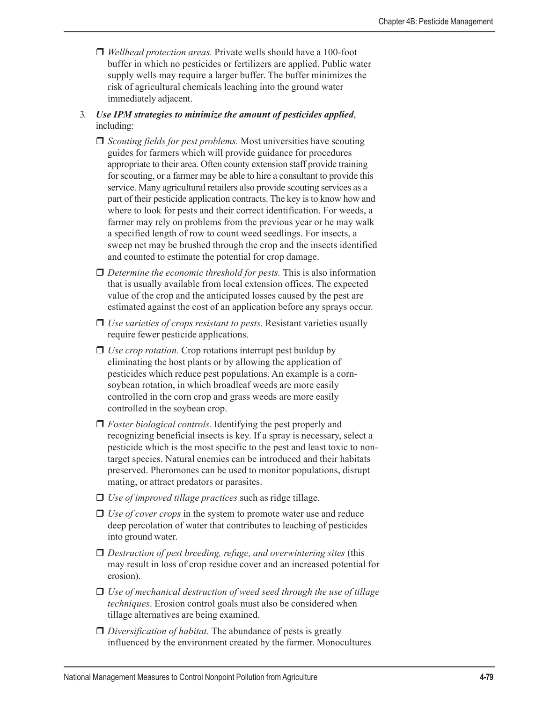- *Wellhead protection areas.* Private wells should have a 100-foot buffer in which no pesticides or fertilizers are applied. Public water supply wells may require a larger buffer. The buffer minimizes the risk of agricultural chemicals leaching into the ground water immediately adjacent.
- 3. *Use IPM strategies to minimize the amount of pesticides applied*, including:
	- *Scouting fields for pest problems.* Most universities have scouting guides for farmers which will provide guidance for procedures appropriate to their area. Often county extension staff provide training for scouting, or a farmer may be able to hire a consultant to provide this service. Many agricultural retailers also provide scouting services as a part of their pesticide application contracts. The key is to know how and where to look for pests and their correct identification. For weeds, a farmer may rely on problems from the previous year or he may walk a specified length of row to count weed seedlings. For insects, a sweep net may be brushed through the crop and the insects identified and counted to estimate the potential for crop damage.
	- □ *Determine the economic threshold for pests.* This is also information that is usually available from local extension offices. The expected value of the crop and the anticipated losses caused by the pest are estimated against the cost of an application before any sprays occur.
	- □ *Use varieties of crops resistant to pests.* Resistant varieties usually require fewer pesticide applications.
	- *Use crop rotation.* Crop rotations interrupt pest buildup by eliminating the host plants or by allowing the application of pesticides which reduce pest populations. An example is a cornsoybean rotation, in which broadleaf weeds are more easily controlled in the corn crop and grass weeds are more easily controlled in the soybean crop.
	- *Foster biological controls.* Identifying the pest properly and recognizing beneficial insects is key. If a spray is necessary, select a pesticide which is the most specific to the pest and least toxic to nontarget species. Natural enemies can be introduced and their habitats preserved. Pheromones can be used to monitor populations, disrupt mating, or attract predators or parasites.
	- *Use of improved tillage practices* such as ridge tillage.
	- *Use of cover crops* in the system to promote water use and reduce deep percolation of water that contributes to leaching of pesticides into ground water.
	- *Destruction of pest breeding, refuge, and overwintering sites* (this may result in loss of crop residue cover and an increased potential for erosion).
	- *Use of mechanical destruction of weed seed through the use of tillage techniques*. Erosion control goals must also be considered when tillage alternatives are being examined.
	- *Diversification of habitat.* The abundance of pests is greatly influenced by the environment created by the farmer. Monocultures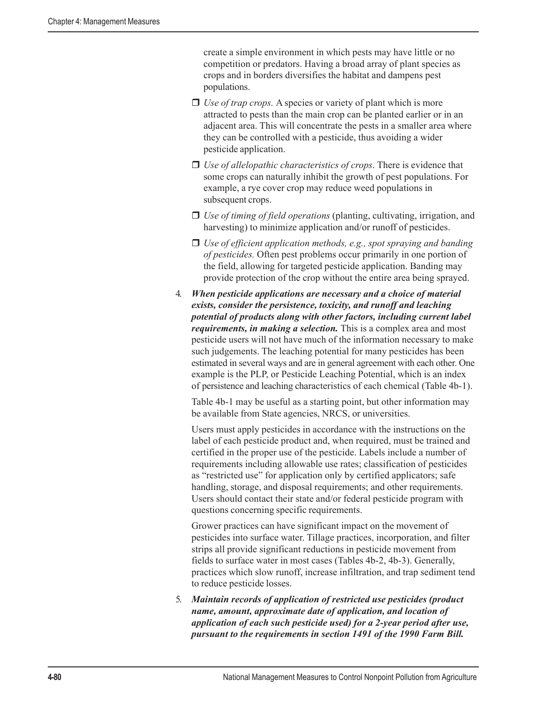create a simple environment in which pests may have little or no competition or predators. Having a broad array of plant species as crops and in borders diversifies the habitat and dampens pest populations.

- *Use of trap crops.* A species or variety of plant which is more attracted to pests than the main crop can be planted earlier or in an adjacent area. This will concentrate the pests in a smaller area where they can be controlled with a pesticide, thus avoiding a wider pesticide application.
- *Use of allelopathic characteristics of crops*. There is evidence that some crops can naturally inhibit the growth of pest populations. For example, a rye cover crop may reduce weed populations in subsequent crops.
- *Use of timing of field operations* (planting, cultivating, irrigation, and harvesting) to minimize application and/or runoff of pesticides.
- *Use of efficient application methods, e.g., spot spraying and banding of pesticides.* Often pest problems occur primarily in one portion of the field, allowing for targeted pesticide application. Banding may provide protection of the crop without the entire area being sprayed.
- 4. *When pesticide applications are necessary and a choice of material exists, consider the persistence, toxicity, and runoff and leaching potential of products along with other factors, including current label requirements, in making a selection.* This is a complex area and most pesticide users will not have much of the information necessary to make such judgements. The leaching potential for many pesticides has been estimated in several ways and are in general agreement with each other. One example is the PLP, or Pesticide Leaching Potential, which is an index of persistence and leaching characteristics of each chemical (Table 4b-1).

Table 4b-1 may be useful as a starting point, but other information may be available from State agencies, NRCS, or universities.

Users must apply pesticides in accordance with the instructions on the label of each pesticide product and, when required, must be trained and certified in the proper use of the pesticide. Labels include a number of requirements including allowable use rates; classification of pesticides as "restricted use" for application only by certified applicators; safe handling, storage, and disposal requirements; and other requirements. Users should contact their state and/or federal pesticide program with questions concerning specific requirements.

Grower practices can have significant impact on the movement of pesticides into surface water. Tillage practices, incorporation, and filter strips all provide significant reductions in pesticide movement from fields to surface water in most cases (Tables 4b-2, 4b-3). Generally, practices which slow runoff, increase infiltration, and trap sediment tend to reduce pesticide losses.

5. *Maintain records of application of restricted use pesticides (product name, amount, approximate date of application, and location of application of each such pesticide used) for a 2-year period after use, pursuant to the requirements in section 1491 of the 1990 Farm Bill.*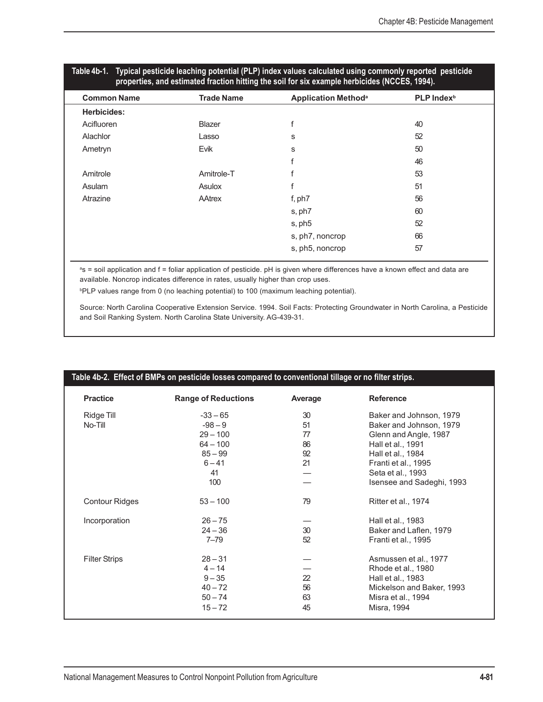| properties, and estimated fraction hitting the soil for six example herbicides (NCCES, 1994). |                   |                                       |                        |  |  |  |
|-----------------------------------------------------------------------------------------------|-------------------|---------------------------------------|------------------------|--|--|--|
| <b>Common Name</b>                                                                            | <b>Trade Name</b> | <b>Application Method<sup>a</sup></b> | PLP Index <sup>b</sup> |  |  |  |
| <b>Herbicides:</b>                                                                            |                   |                                       |                        |  |  |  |
| Acifluoren                                                                                    | Blazer            | f                                     | 40                     |  |  |  |
| Alachlor                                                                                      | Lasso             | s                                     | 52                     |  |  |  |
| Ametryn                                                                                       | Evik              | s                                     | 50                     |  |  |  |
|                                                                                               |                   |                                       | 46                     |  |  |  |
| Amitrole                                                                                      | Amitrole-T        |                                       | 53                     |  |  |  |
| Asulam                                                                                        | Asulox            |                                       | 51                     |  |  |  |
| Atrazine                                                                                      | AAtrex            | f, ph7                                | 56                     |  |  |  |
|                                                                                               |                   | s, ph7                                | 60                     |  |  |  |
|                                                                                               |                   | s, ph5                                | 52                     |  |  |  |
|                                                                                               |                   | s, ph7, noncrop                       | 66                     |  |  |  |
|                                                                                               |                   | s, ph5, noncrop                       | 57                     |  |  |  |
|                                                                                               |                   |                                       |                        |  |  |  |

#### **Table 4b-1. Typical pesticide leaching potential (PLP) index values calculated using commonly reported pesticide properties, and estimated fraction hitting the soil for six example herbicides (NCCES, 1994).**

<sup>a</sup>s = soil application and f = foliar application of pesticide. pH is given where differences have a known effect and data are available. Noncrop indicates difference in rates, usually higher than crop uses.

b PLP values range from 0 (no leaching potential) to 100 (maximum leaching potential).

Source: North Carolina Cooperative Extension Service. 1994. Soil Facts: Protecting Groundwater in North Carolina, a Pesticide and Soil Ranking System. North Carolina State University. AG-439-31.

| <b>Practice</b>       | <b>Range of Reductions</b> | Average | <b>Reference</b>          |
|-----------------------|----------------------------|---------|---------------------------|
| Ridge Till            | $-33 - 65$                 | 30      | Baker and Johnson, 1979   |
| No-Till               | $-98 - 9$                  | 51      | Baker and Johnson, 1979   |
|                       | $29 - 100$                 | 77      | Glenn and Angle, 1987     |
|                       | $64 - 100$                 | 86      | Hall et al., 1991         |
|                       | $85 - 99$                  | 92      | Hall et al., 1984         |
|                       | $6 - 41$                   | 21      | Franti et al., 1995       |
|                       | 41                         |         | Seta et al., 1993         |
|                       | 100                        |         | Isensee and Sadeghi, 1993 |
| <b>Contour Ridges</b> | $53 - 100$                 | 79      | Ritter et al., 1974       |
| Incorporation         | $26 - 75$                  |         | Hall et al., 1983         |
|                       | $24 - 36$                  | 30      | Baker and Laflen, 1979    |
|                       | $7 - 79$                   | 52      | Franti et al., 1995       |
| <b>Filter Strips</b>  | $28 - 31$                  |         | Asmussen et al., 1977     |
|                       | $4 - 14$                   |         | Rhode et al., 1980        |
|                       | $9 - 35$                   | 22      | Hall et al., 1983         |
|                       | $40 - 72$                  | 56      | Mickelson and Baker, 1993 |
|                       | $50 - 74$                  | 63      | Misra et al., 1994        |
|                       | $15 - 72$                  | 45      | Misra, 1994               |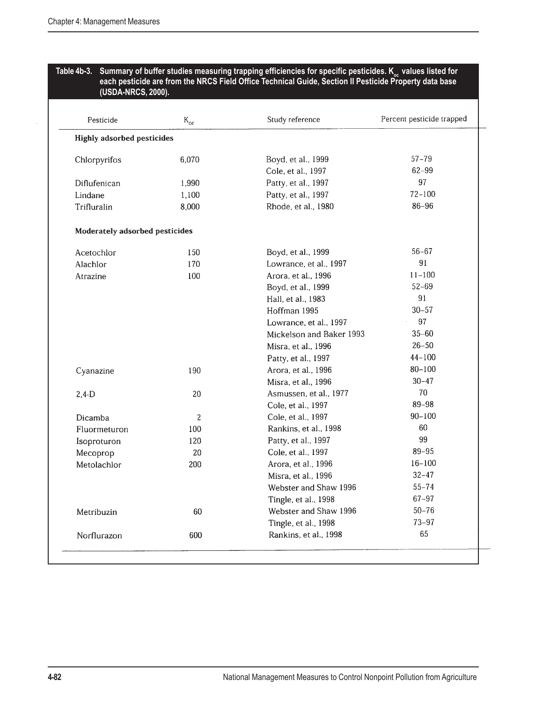#### Table 4b-3. Summary of buffer studies measuring trapping efficiencies for specific pesticides. K<sub>oc</sub> values listed for **each pesticide are from the NRCS Field Office Technical Guide, Section II Pesticide Property data base (USDA-NRCS, 2000).**

| Pesticide                         | $K_{\alpha r}$ | Study reference          | Percent pesticide trapped |
|-----------------------------------|----------------|--------------------------|---------------------------|
| <b>Highly adsorbed pesticides</b> |                |                          |                           |
| Chlorpyrifos                      | 6.070          | Boyd, et al., 1999       | $57 - 79$                 |
|                                   |                | Cole, et al., 1997       | $62 - 99$                 |
| Diflufenican                      | 1,990          | Patty, et al., 1997      | 97                        |
| Lindane                           | 1,100          | Patty, et al., 1997      | $72 - 100$                |
| Trifluralin                       | 8,000          | Rhode, et al., 1980      | $86 - 96$                 |
| Moderately adsorbed pesticides    |                |                          |                           |
| Acetochlor                        | 150            | Boyd, et al., 1999       | $56 - 67$                 |
| Alachlor                          | 170            | Lowrance, et al., 1997   | 91                        |
| Atrazine                          | 100            | Arora, et al., 1996      | $11 - 100$                |
|                                   |                | Boyd, et al., 1999       | $52 - 69$                 |
|                                   |                | Hall, et al., 1983       | 91                        |
|                                   |                | Hoffman 1995             | $30 - 57$                 |
|                                   |                | Lowrance, et al., 1997   | 97                        |
|                                   |                | Mickelson and Baker 1993 | $35 - 60$                 |
|                                   |                | Misra, et al., 1996      | $26 - 50$                 |
|                                   |                | Patty, et al., 1997      | $44 - 100$                |
| Cyanazine                         | 190            | Arora, et al., 1996      | $80 - 100$                |
|                                   |                | Misra, et al., 1996      | $30 - 47$                 |
| $2,4-D$                           | 20             | Asmussen, et al., 1977   | 70                        |
|                                   |                | Cole, et al., 1997       | 89-98                     |
| Dicamba                           | 2              | Cole, et al., 1997       | $90 - 100$                |
| Fluormeturon                      | 100            | Rankins, et al., 1998    | 60                        |
| Isoproturon                       | 120            | Patty, et al., 1997      | 99                        |
| Mecoprop                          | 20             | Cole, et al., 1997       | 89-95                     |
| Metolachlor                       | 200            | Arora, et al., 1996      | $16 - 100$                |
|                                   |                | Misra, et al., 1996      | $32 - 47$                 |
|                                   |                | Webster and Shaw 1996    | $55 - 74$                 |
|                                   |                | Tingle, et al., 1998     | $67 - 97$                 |
| Metribuzin                        | 60             | Webster and Shaw 1996    | $50 - 76$                 |
|                                   |                | Tingle, et al., 1998     | $73 - 97$                 |
| Norflurazon                       | 600            | Rankins, et al., 1998    | 65                        |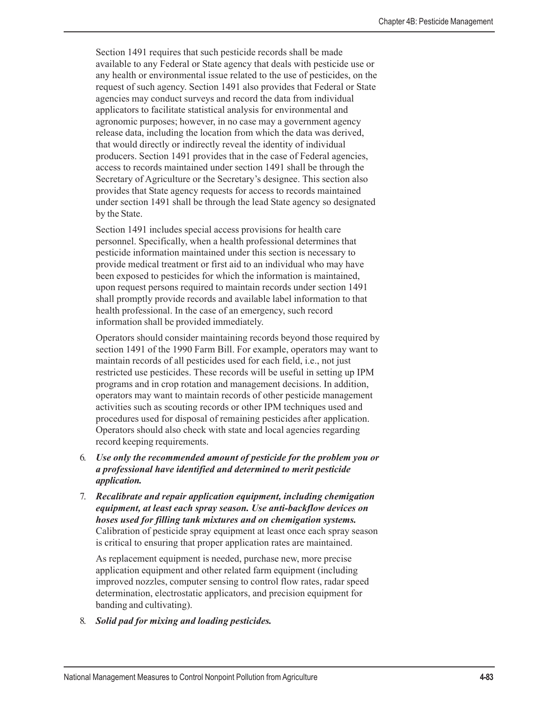Section 1491 requires that such pesticide records shall be made available to any Federal or State agency that deals with pesticide use or any health or environmental issue related to the use of pesticides, on the request of such agency. Section 1491 also provides that Federal or State agencies may conduct surveys and record the data from individual applicators to facilitate statistical analysis for environmental and agronomic purposes; however, in no case may a government agency release data, including the location from which the data was derived, that would directly or indirectly reveal the identity of individual producers. Section 1491 provides that in the case of Federal agencies, access to records maintained under section 1491 shall be through the Secretary of Agriculture or the Secretary's designee. This section also provides that State agency requests for access to records maintained under section 1491 shall be through the lead State agency so designated by the State.

Section 1491 includes special access provisions for health care personnel. Specifically, when a health professional determines that pesticide information maintained under this section is necessary to provide medical treatment or first aid to an individual who may have been exposed to pesticides for which the information is maintained, upon request persons required to maintain records under section 1491 shall promptly provide records and available label information to that health professional. In the case of an emergency, such record information shall be provided immediately.

Operators should consider maintaining records beyond those required by section 1491 of the 1990 Farm Bill. For example, operators may want to maintain records of all pesticides used for each field, i.e., not just restricted use pesticides. These records will be useful in setting up IPM programs and in crop rotation and management decisions. In addition, operators may want to maintain records of other pesticide management activities such as scouting records or other IPM techniques used and procedures used for disposal of remaining pesticides after application. Operators should also check with state and local agencies regarding record keeping requirements.

- 6. *Use only the recommended amount of pesticide for the problem you or a professional have identified and determined to merit pesticide application.*
- 7. *Recalibrate and repair application equipment, including chemigation equipment, at least each spray season. Use anti-backflow devices on hoses used for filling tank mixtures and on chemigation systems.* Calibration of pesticide spray equipment at least once each spray season is critical to ensuring that proper application rates are maintained.

As replacement equipment is needed, purchase new, more precise application equipment and other related farm equipment (including improved nozzles, computer sensing to control flow rates, radar speed determination, electrostatic applicators, and precision equipment for banding and cultivating).

8. *Solid pad for mixing and loading pesticides.*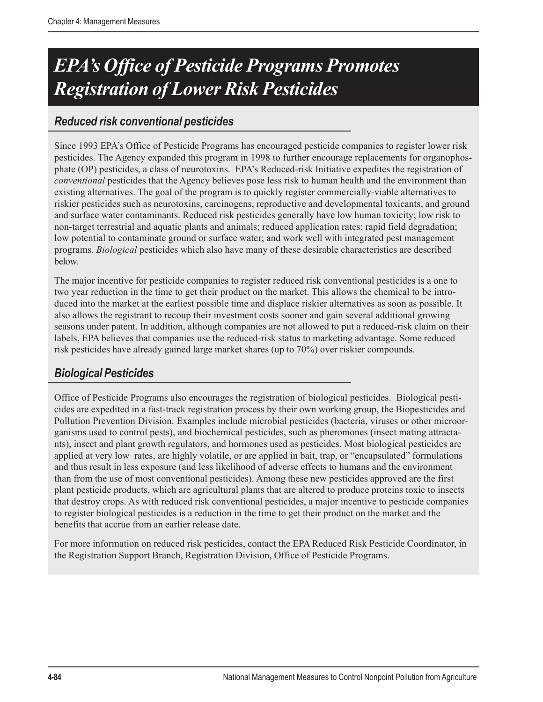# *EPA's Office of Pesticide Programs Promotes Registration of Lower Risk Pesticides*

## *Reduced risk conventional pesticides*

Since 1993 EPA's Office of Pesticide Programs has encouraged pesticide companies to register lower risk pesticides. The Agency expanded this program in 1998 to further encourage replacements for organophosphate (OP) pesticides, a class of neurotoxins. EPA's Reduced-risk Initiative expedites the registration of *conventional* pesticides that the Agency believes pose less risk to human health and the environment than existing alternatives. The goal of the program is to quickly register commercially-viable alternatives to riskier pesticides such as neurotoxins, carcinogens, reproductive and developmental toxicants, and ground and surface water contaminants. Reduced risk pesticides generally have low human toxicity; low risk to non-target terrestrial and aquatic plants and animals; reduced application rates; rapid field degradation; low potential to contaminate ground or surface water; and work well with integrated pest management programs. *Biological* pesticides which also have many of these desirable characteristics are described below.

The major incentive for pesticide companies to register reduced risk conventional pesticides is a one to two year reduction in the time to get their product on the market. This allows the chemical to be introduced into the market at the earliest possible time and displace riskier alternatives as soon as possible. It also allows the registrant to recoup their investment costs sooner and gain several additional growing seasons under patent. In addition, although companies are not allowed to put a reduced-risk claim on their labels, EPA believes that companies use the reduced-risk status to marketing advantage. Some reduced risk pesticides have already gained large market shares (up to 70%) over riskier compounds.

## *Biological Pesticides*

Office of Pesticide Programs also encourages the registration of biological pesticides. Biological pesticides are expedited in a fast-track registration process by their own working group, the Biopesticides and Pollution Prevention Division. Examples include microbial pesticides (bacteria, viruses or other microorganisms used to control pests), and biochemical pesticides, such as pheromones (insect mating attractants), insect and plant growth regulators, and hormones used as pesticides. Most biological pesticides are applied at very low rates, are highly volatile, or are applied in bait, trap, or "encapsulated" formulations and thus result in less exposure (and less likelihood of adverse effects to humans and the environment than from the use of most conventional pesticides). Among these new pesticides approved are the first plant pesticide products, which are agricultural plants that are altered to produce proteins toxic to insects that destroy crops. As with reduced risk conventional pesticides, a major incentive to pesticide companies to register biological pesticides is a reduction in the time to get their product on the market and the benefits that accrue from an earlier release date.

For more information on reduced risk pesticides, contact the EPA Reduced Risk Pesticide Coordinator, in the Registration Support Branch, Registration Division, Office of Pesticide Programs.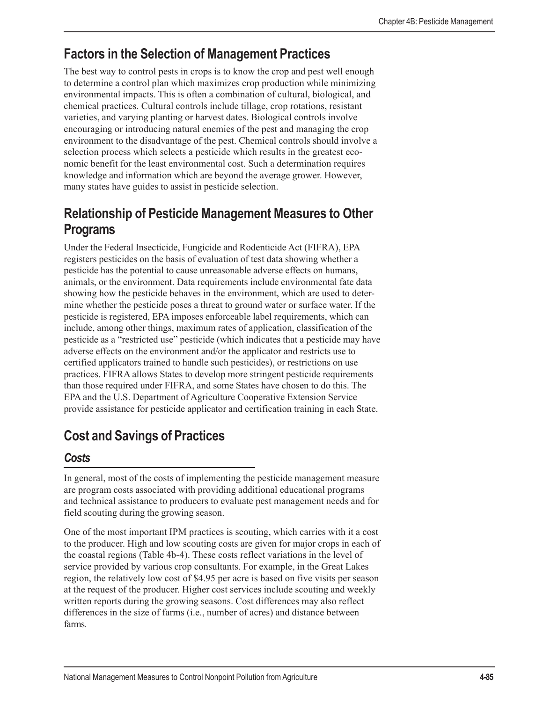# **Factors in the Selection of Management Practices**

The best way to control pests in crops is to know the crop and pest well enough to determine a control plan which maximizes crop production while minimizing environmental impacts. This is often a combination of cultural, biological, and chemical practices. Cultural controls include tillage, crop rotations, resistant varieties, and varying planting or harvest dates. Biological controls involve encouraging or introducing natural enemies of the pest and managing the crop environment to the disadvantage of the pest. Chemical controls should involve a selection process which selects a pesticide which results in the greatest economic benefit for the least environmental cost. Such a determination requires knowledge and information which are beyond the average grower. However, many states have guides to assist in pesticide selection.

# **Relationship of Pesticide Management Measures to Other Programs**

Under the Federal Insecticide, Fungicide and Rodenticide Act (FIFRA), EPA registers pesticides on the basis of evaluation of test data showing whether a pesticide has the potential to cause unreasonable adverse effects on humans, animals, or the environment. Data requirements include environmental fate data showing how the pesticide behaves in the environment, which are used to determine whether the pesticide poses a threat to ground water or surface water. If the pesticide is registered, EPA imposes enforceable label requirements, which can include, among other things, maximum rates of application, classification of the pesticide as a "restricted use" pesticide (which indicates that a pesticide may have adverse effects on the environment and/or the applicator and restricts use to certified applicators trained to handle such pesticides), or restrictions on use practices. FIFRA allows States to develop more stringent pesticide requirements than those required under FIFRA, and some States have chosen to do this. The EPA and the U.S. Department of Agriculture Cooperative Extension Service provide assistance for pesticide applicator and certification training in each State.

# **Cost and Savings of Practices**

## *Costs*

In general, most of the costs of implementing the pesticide management measure are program costs associated with providing additional educational programs and technical assistance to producers to evaluate pest management needs and for field scouting during the growing season.

One of the most important IPM practices is scouting, which carries with it a cost to the producer. High and low scouting costs are given for major crops in each of the coastal regions (Table 4b-4). These costs reflect variations in the level of service provided by various crop consultants. For example, in the Great Lakes region, the relatively low cost of \$4.95 per acre is based on five visits per season at the request of the producer. Higher cost services include scouting and weekly written reports during the growing seasons. Cost differences may also reflect differences in the size of farms (i.e., number of acres) and distance between farms.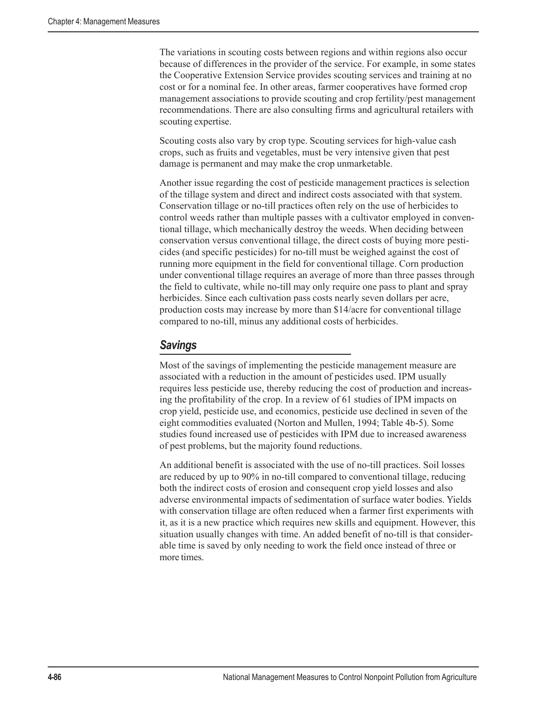The variations in scouting costs between regions and within regions also occur because of differences in the provider of the service. For example, in some states the Cooperative Extension Service provides scouting services and training at no cost or for a nominal fee. In other areas, farmer cooperatives have formed crop management associations to provide scouting and crop fertility/pest management recommendations. There are also consulting firms and agricultural retailers with scouting expertise.

Scouting costs also vary by crop type. Scouting services for high-value cash crops, such as fruits and vegetables, must be very intensive given that pest damage is permanent and may make the crop unmarketable.

Another issue regarding the cost of pesticide management practices is selection of the tillage system and direct and indirect costs associated with that system. Conservation tillage or no-till practices often rely on the use of herbicides to control weeds rather than multiple passes with a cultivator employed in conventional tillage, which mechanically destroy the weeds. When deciding between conservation versus conventional tillage, the direct costs of buying more pesticides (and specific pesticides) for no-till must be weighed against the cost of running more equipment in the field for conventional tillage. Corn production under conventional tillage requires an average of more than three passes through the field to cultivate, while no-till may only require one pass to plant and spray herbicides. Since each cultivation pass costs nearly seven dollars per acre, production costs may increase by more than \$14/acre for conventional tillage compared to no-till, minus any additional costs of herbicides.

### *Savings*

Most of the savings of implementing the pesticide management measure are associated with a reduction in the amount of pesticides used. IPM usually requires less pesticide use, thereby reducing the cost of production and increasing the profitability of the crop. In a review of 61 studies of IPM impacts on crop yield, pesticide use, and economics, pesticide use declined in seven of the eight commodities evaluated (Norton and Mullen, 1994; Table 4b-5). Some studies found increased use of pesticides with IPM due to increased awareness of pest problems, but the majority found reductions.

An additional benefit is associated with the use of no-till practices. Soil losses are reduced by up to 90% in no-till compared to conventional tillage, reducing both the indirect costs of erosion and consequent crop yield losses and also adverse environmental impacts of sedimentation of surface water bodies. Yields with conservation tillage are often reduced when a farmer first experiments with it, as it is a new practice which requires new skills and equipment. However, this situation usually changes with time. An added benefit of no-till is that considerable time is saved by only needing to work the field once instead of three or more times.